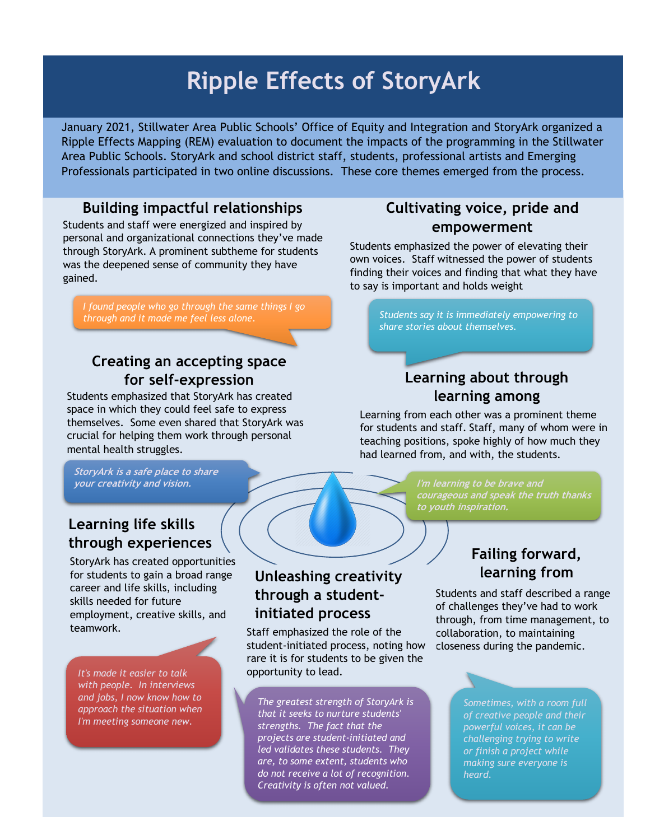# **Ripple Effects of StoryArk**

January 2021, Stillwater Area Public Schools' Office of Equity and Integration and StoryArk organized a Ripple Effects Mapping (REM) evaluation to document the impacts of the programming in the Stillwater Area Public Schools. StoryArk and school district staff, students, professional artists and Emerging Professionals participated in two online discussions. These core themes emerged from the process.

#### **Building impactful relationships**

Students and staff were energized and inspired by personal and organizational connections they've made through StoryArk. A prominent subtheme for students was the deepened sense of community they have gained.

*I found people who go through the same things I go through and it made me feel less alone.*

# **Creating an accepting space for self-expression**

Students emphasized that StoryArk has created space in which they could feel safe to express themselves. Some even shared that StoryArk was crucial for helping them work through personal mental health struggles.

**StoryArk is a safe place to share your creativity and vision.**

## **Learning life skills through experiences**

StoryArk has created opportunities for students to gain a broad range career and life skills, including skills needed for future employment, creative skills, and teamwork.

*It's made it easier to talk with people. In interviews and jobs, I now know how to approach the situation when I'm meeting someone new.*

## **Unleashing creativity through a studentinitiated process**

Staff emphasized the role of the student-initiated process, noting how rare it is for students to be given the opportunity to lead.

*The greatest strength of StoryArk is that it seeks to nurture students' strengths. The fact that the projects are student-initiated and led validates these students. They are, to some extent, students who do not receive a lot of recognition. Creativity is often not valued.* 

## **Cultivating voice, pride and empowerment**

Students emphasized the power of elevating their own voices. Staff witnessed the power of students finding their voices and finding that what they have to say is important and holds weight

> *Students say it is immediately empowering to share stories about themselves.*

#### **Learning about through learning among**

Learning from each other was a prominent theme for students and staff. Staff, many of whom were in teaching positions, spoke highly of how much they had learned from, and with, the students.

> **courageous and speak the truth thanks to youth inspiration.**

## **Failing forward, learning from**

Students and staff described a range of challenges they've had to work through, from time management, to collaboration, to maintaining closeness during the pandemic.

> *Sometimes, with a room full of creative people and their powerful voices, it can be challenging trying to write or finish a project while making sure everyone is heard.*